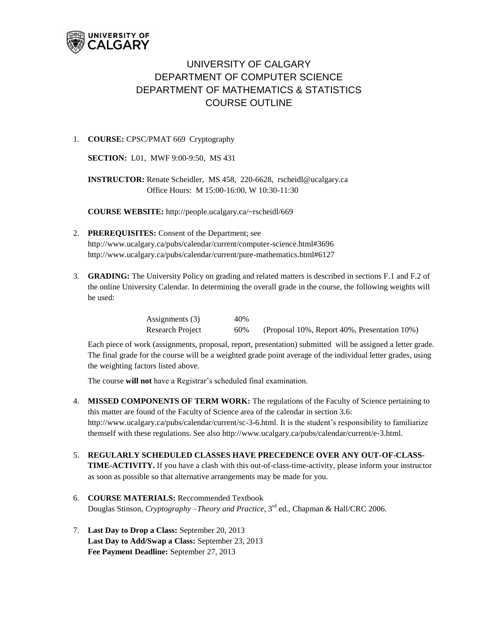

## UNIVERSITY OF CALGARY DEPARTMENT OF COMPUTER SCIENCE DEPARTMENT OF MATHEMATICS & STATISTICS COURSE OUTLINE

## 1. **COURSE:** CPSC/PMAT 669 Cryptography

**SECTION:** L01, MWF 9:00-9:50, MS 431

**INSTRUCTOR:** Renate Scheidler, MS 458, 220-6628, [rscheidl@ucalgary.ca](mailto:rscheidl@ucalgary.ca) Office Hours: M 15:00-16:00, W 10:30-11:30

**COURSE WEBSITE:** <http://people.ucalgary.ca/~rscheidl/669>

- 2. **PREREQUISITES:** Consent of the Department; see [http://www.ucalgary.ca/pubs/calendar/current/computer-science.html#3696](http://www.ucalgary.ca/pubs/calendar/current/computer-science.html%233696) <http://www.ucalgary.ca/pubs/calendar/current/pure-mathematics.html#6127>
- 3. **GRADING:** The University Policy on grading and related matters is described in sections F.1 and F.2 of the online University Calendar. In determining the overall grade in the course, the following weights will be used:

| Assignments $(3)$ | 40% |                                              |
|-------------------|-----|----------------------------------------------|
| Research Project  | 60% | (Proposal 10%, Report 40%, Presentation 10%) |

Each piece of work (assignments, proposal, report, presentation) submitted will be assigned a letter grade. The final grade for the course will be a weighted grade point average of the individual letter grades, using the weighting factors listed above.

The course **will not** have a Registrar's scheduled final examination.

- 4. **MISSED COMPONENTS OF TERM WORK:** The regulations of the Faculty of Science pertaining to this matter are found of the Faculty of Science area of the calendar in section 3.6: [http://www.ucalgary.ca/pubs/calendar/current/sc-3-6.html.](http://www.ucalgary.ca/pubs/calendar/current/sc-3-6.html) It is the student's responsibility to familiarize themself with these regulations. Se[e also http://www.ucalgary.ca/pubs/calendar/current/e-3.html.](also%20http:/www.ucalgary.ca/pubs/calendar/current/e-3.html)
- 5. **REGULARLY SCHEDULED CLASSES HAVE PRECEDENCE OVER ANY OUT-OF-CLASS-TIME-ACTIVITY.** If you have a clash with this out-of-class-time-activity, please inform your instructor as soon as possible so that alternative arrangements may be made for you.
- 6. **COURSE MATERIALS:** Reccommended Textbook Douglas Stinson, *Cryptography –Theory and Practice*, 3 rd ed., Chapman & Hall/CRC 2006.
- 7. **Last Day to Drop a Class:** September 20, 2013 **Last Day to Add/Swap a Class:** September 23, 2013 **Fee Payment Deadline:** September 27, 2013